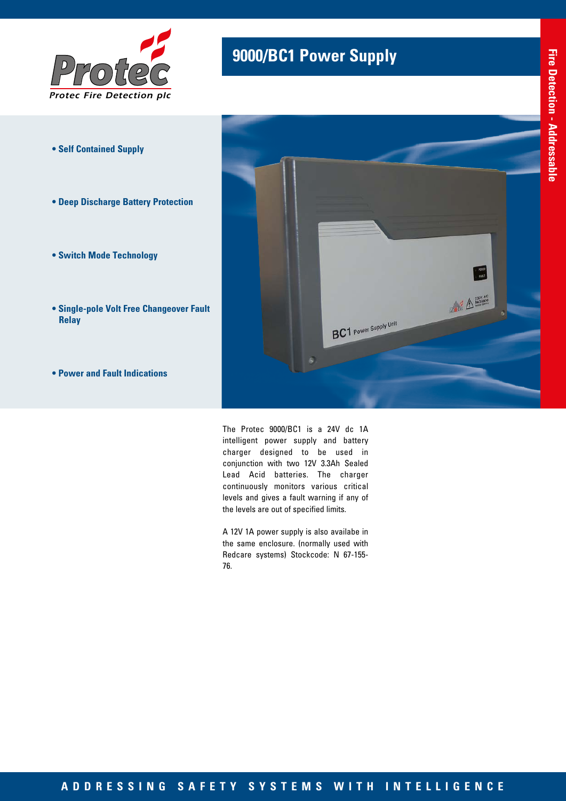

- **Self Contained Supply**
- **Deep Discharge Battery Protection**
- **Switch Mode Technology**
- **Single-pole Volt Free Changeover Fault Relay**
- **Power and Fault Indications**

## **9000/BC1 Power Supply**



The Protec 9000/BC1 is a 24V dc 1A intelligent power supply and battery charger designed to be used in conjunction with two 12V 3.3Ah Sealed Lead Acid batteries. The charger continuously monitors various critical levels and gives a fault warning if any of the levels are out of specified limits.

A 12V 1A power supply is also availabe in the same enclosure. (normally used with Redcare systems) Stockcode: N 67-155- 76.